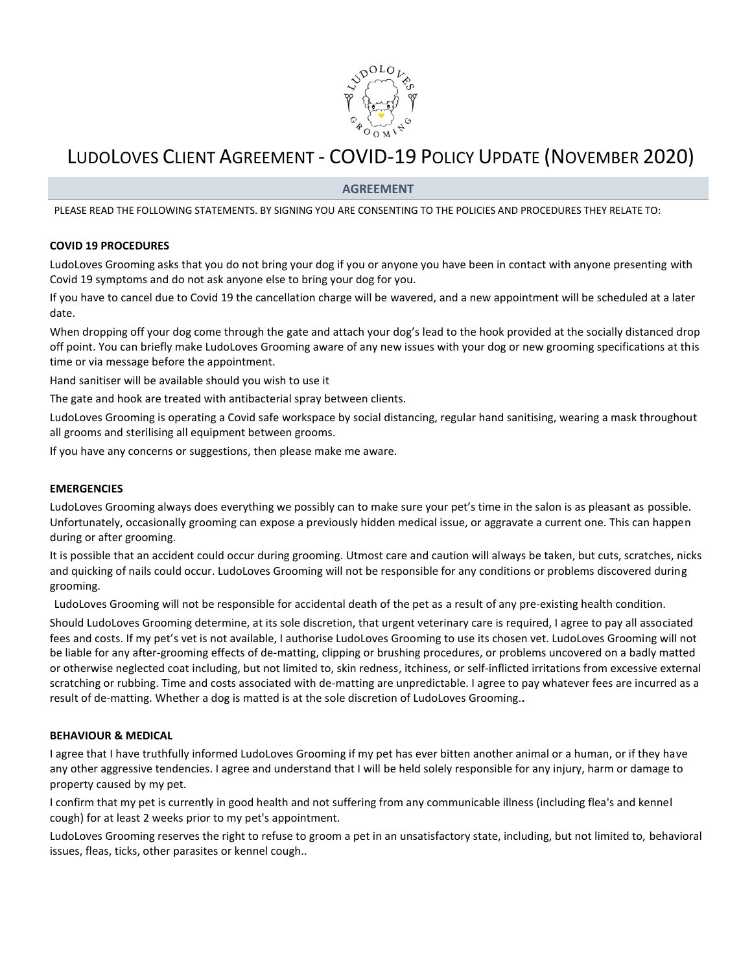

# LUDOLOVES CLIENT AGREEMENT - COVID-19 POLICY UPDATE (NOVEMBER 2020)

# **AGREEMENT**

PLEASE READ THE FOLLOWING STATEMENTS. BY SIGNING YOU ARE CONSENTING TO THE POLICIES AND PROCEDURES THEY RELATE TO:

## **COVID 19 PROCEDURES**

LudoLoves Grooming asks that you do not bring your dog if you or anyone you have been in contact with anyone presenting with Covid 19 symptoms and do not ask anyone else to bring your dog for you.

If you have to cancel due to Covid 19 the cancellation charge will be wavered, and a new appointment will be scheduled at a later date.

When dropping off your dog come through the gate and attach your dog's lead to the hook provided at the socially distanced drop off point. You can briefly make LudoLoves Grooming aware of any new issues with your dog or new grooming specifications at this time or via message before the appointment.

Hand sanitiser will be available should you wish to use it

The gate and hook are treated with antibacterial spray between clients.

LudoLoves Grooming is operating a Covid safe workspace by social distancing, regular hand sanitising, wearing a mask throughout all grooms and sterilising all equipment between grooms.

If you have any concerns or suggestions, then please make me aware.

#### **EMERGENCIES**

LudoLoves Grooming always does everything we possibly can to make sure your pet's time in the salon is as pleasant as possible. Unfortunately, occasionally grooming can expose a previously hidden medical issue, or aggravate a current one. This can happen during or after grooming.

It is possible that an accident could occur during grooming. Utmost care and caution will always be taken, but cuts, scratches, nicks and quicking of nails could occur. LudoLoves Grooming will not be responsible for any conditions or problems discovered during grooming.

LudoLoves Grooming will not be responsible for accidental death of the pet as a result of any pre-existing health condition.

Should LudoLoves Grooming determine, at its sole discretion, that urgent veterinary care is required, I agree to pay all associated fees and costs. If my pet's vet is not available, I authorise LudoLoves Grooming to use its chosen vet. LudoLoves Grooming will not be liable for any after-grooming effects of de-matting, clipping or brushing procedures, or problems uncovered on a badly matted or otherwise neglected coat including, but not limited to, skin redness, itchiness, or self-inflicted irritations from excessive external scratching or rubbing. Time and costs associated with de-matting are unpredictable. I agree to pay whatever fees are incurred as a result of de-matting. Whether a dog is matted is at the sole discretion of LudoLoves Grooming.**.** 

#### **BEHAVIOUR & MEDICAL**

I agree that I have truthfully informed LudoLoves Grooming if my pet has ever bitten another animal or a human, or if they have any other aggressive tendencies. I agree and understand that I will be held solely responsible for any injury, harm or damage to property caused by my pet.

I confirm that my pet is currently in good health and not suffering from any communicable illness (including flea's and kennel cough) for at least 2 weeks prior to my pet's appointment.

LudoLoves Grooming reserves the right to refuse to groom a pet in an unsatisfactory state, including, but not limited to, behavioral issues, fleas, ticks, other parasites or kennel cough..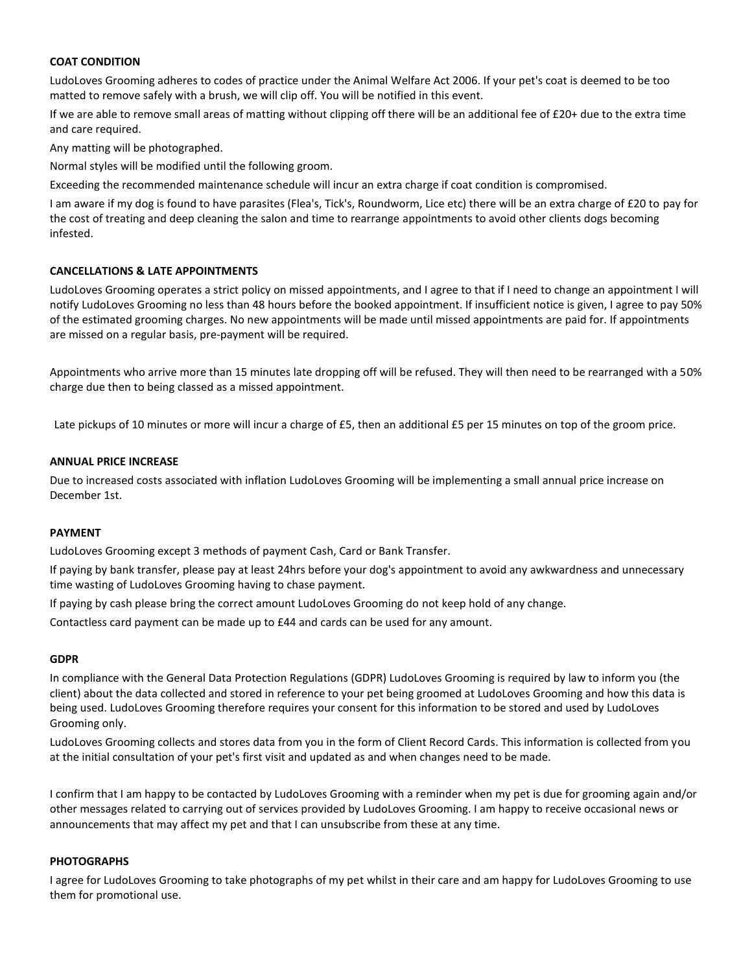## **COAT CONDITION**

LudoLoves Grooming adheres to codes of practice under the Animal Welfare Act 2006. If your pet's coat is deemed to be too matted to remove safely with a brush, we will clip off. You will be notified in this event.

If we are able to remove small areas of matting without clipping off there will be an additional fee of £20+ due to the extra time and care required.

Any matting will be photographed.

Normal styles will be modified until the following groom.

Exceeding the recommended maintenance schedule will incur an extra charge if coat condition is compromised.

I am aware if my dog is found to have parasites (Flea's, Tick's, Roundworm, Lice etc) there will be an extra charge of £20 to pay for the cost of treating and deep cleaning the salon and time to rearrange appointments to avoid other clients dogs becoming infested.

## **CANCELLATIONS & LATE APPOINTMENTS**

LudoLoves Grooming operates a strict policy on missed appointments, and I agree to that if I need to change an appointment I will notify LudoLoves Grooming no less than 48 hours before the booked appointment. If insufficient notice is given, I agree to pay 50% of the estimated grooming charges. No new appointments will be made until missed appointments are paid for. If appointments are missed on a regular basis, pre-payment will be required.

Appointments who arrive more than 15 minutes late dropping off will be refused. They will then need to be rearranged with a 50% charge due then to being classed as a missed appointment.

Late pickups of 10 minutes or more will incur a charge of £5, then an additional £5 per 15 minutes on top of the groom price.

## **ANNUAL PRICE INCREASE**

Due to increased costs associated with inflation LudoLoves Grooming will be implementing a small annual price increase on December 1st.

## **PAYMENT**

LudoLoves Grooming except 3 methods of payment Cash, Card or Bank Transfer.

If paying by bank transfer, please pay at least 24hrs before your dog's appointment to avoid any awkwardness and unnecessary time wasting of LudoLoves Grooming having to chase payment.

If paying by cash please bring the correct amount LudoLoves Grooming do not keep hold of any change.

Contactless card payment can be made up to £44 and cards can be used for any amount.

#### **GDPR**

In compliance with the General Data Protection Regulations (GDPR) LudoLoves Grooming is required by law to inform you (the client) about the data collected and stored in reference to your pet being groomed at LudoLoves Grooming and how this data is being used. LudoLoves Grooming therefore requires your consent for this information to be stored and used by LudoLoves Grooming only.

LudoLoves Grooming collects and stores data from you in the form of Client Record Cards. This information is collected from you at the initial consultation of your pet's first visit and updated as and when changes need to be made.

I confirm that I am happy to be contacted by LudoLoves Grooming with a reminder when my pet is due for grooming again and/or other messages related to carrying out of services provided by LudoLoves Grooming. I am happy to receive occasional news or announcements that may affect my pet and that I can unsubscribe from these at any time.

# **PHOTOGRAPHS**

I agree for LudoLoves Grooming to take photographs of my pet whilst in their care and am happy for LudoLoves Grooming to use them for promotional use.